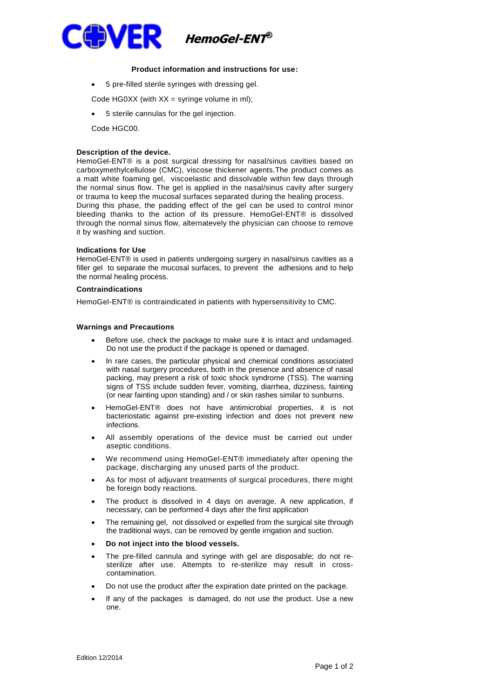

## **Product information and instructions for use:**

- 5 pre-filled sterile syringes with dressing gel.
- Code HG0XX (with  $XX =$  syringe volume in ml);
- 5 sterile cannulas for the gel injection.
- Code HGC00.

### **Description of the device.**

HemoGel-ENT® is a post surgical dressing for nasal/sinus cavities based on carboxymethylcellulose (CMC), viscose thickener agents.The product comes as a matt white foaming gel, viscoelastic and dissolvable within few days through the normal sinus flow. The gel is applied in the nasal/sinus cavity after surgery or trauma to keep the mucosal surfaces separated during the healing process. During this phase, the padding effect of the gel can be used to control minor bleeding thanks to the action of its pressure. HemoGel-ENT® is dissolved through the normal sinus flow, alternatevely the physician can choose to remove it by washing and suction.

### **Indications for Use**

HemoGel-ENT® is used in patients undergoing surgery in nasal/sinus cavities as a filler gel to separate the mucosal surfaces, to prevent the adhesions and to help the normal healing process.

## **Contraindications**

HemoGel-ENT® is contraindicated in patients with hypersensitivity to CMC.

### **Warnings and Precautions**

- Before use, check the package to make sure it is intact and undamaged. Do not use the product if the package is opened or damaged.
- In rare cases, the particular physical and chemical conditions associated with nasal surgery procedures, both in the presence and absence of nasal packing, may present a risk of toxic shock syndrome (TSS). The warning signs of TSS include sudden fever, vomiting, diarrhea, dizziness, fainting (or near fainting upon standing) and / or skin rashes similar to sunburns.
- HemoGel-ENT® does not have antimicrobial properties, it is not bacteriostatic against pre-existing infection and does not prevent new infections.
- All assembly operations of the device must be carried out under aseptic conditions.
- We recommend using HemoGel-ENT® immediately after opening the package, discharging any unused parts of the product.
- As for most of adjuvant treatments of surgical procedures, there might be foreign body reactions.
- The product is dissolved in 4 days on average. A new application, if necessary, can be performed 4 days after the first application
- The remaining gel, not dissolved or expelled from the surgical site through the traditional ways, can be removed by gentle irrigation and suction.
- **Do not inject into the blood vessels.**
- The pre-filled cannula and syringe with gel are disposable; do not resterilize after use. Attempts to re-sterilize may result in crosscontamination.
- Do not use the product after the expiration date printed on the package.
- If any of the packages is damaged, do not use the product. Use a new one.